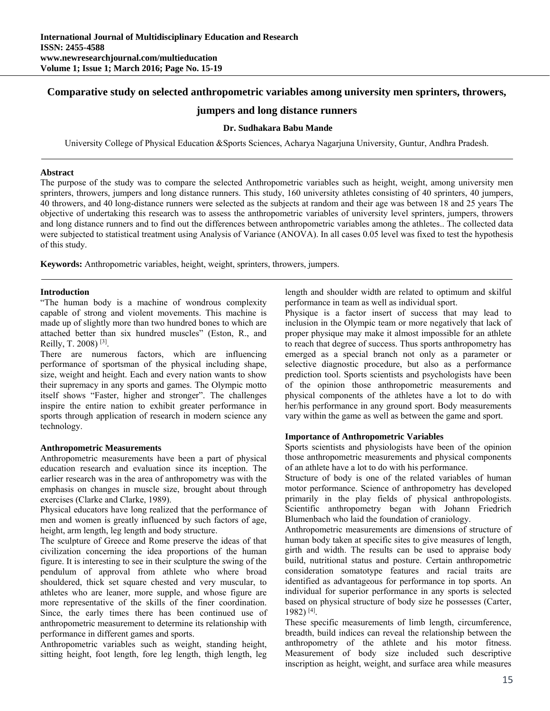# **Comparative study on selected anthropometric variables among university men sprinters, throwers,**

# **jumpers and long distance runners**

## **Dr. Sudhakara Babu Mande**

University College of Physical Education &Sports Sciences, Acharya Nagarjuna University, Guntur, Andhra Pradesh.

### **Abstract**

The purpose of the study was to compare the selected Anthropometric variables such as height, weight, among university men sprinters, throwers, jumpers and long distance runners. This study, 160 university athletes consisting of 40 sprinters, 40 jumpers, 40 throwers, and 40 long-distance runners were selected as the subjects at random and their age was between 18 and 25 years The objective of undertaking this research was to assess the anthropometric variables of university level sprinters, jumpers, throwers and long distance runners and to find out the differences between anthropometric variables among the athletes.. The collected data were subjected to statistical treatment using Analysis of Variance (ANOVA). In all cases 0.05 level was fixed to test the hypothesis of this study.

**Keywords:** Anthropometric variables, height, weight, sprinters, throwers, jumpers.

## **Introduction**

"The human body is a machine of wondrous complexity capable of strong and violent movements. This machine is made up of slightly more than two hundred bones to which are attached better than six hundred muscles" (Eston, R., and Reilly, T. 2008) [3].

There are numerous factors, which are influencing performance of sportsman of the physical including shape, size, weight and height. Each and every nation wants to show their supremacy in any sports and games. The Olympic motto itself shows "Faster, higher and stronger". The challenges inspire the entire nation to exhibit greater performance in sports through application of research in modern science any technology.

## **Anthropometric Measurements**

Anthropometric measurements have been a part of physical education research and evaluation since its inception. The earlier research was in the area of anthropometry was with the emphasis on changes in muscle size, brought about through exercises (Clarke and Clarke, 1989).

Physical educators have long realized that the performance of men and women is greatly influenced by such factors of age, height, arm length, leg length and body structure.

The sculpture of Greece and Rome preserve the ideas of that civilization concerning the idea proportions of the human figure. It is interesting to see in their sculpture the swing of the pendulum of approval from athlete who where broad shouldered, thick set square chested and very muscular, to athletes who are leaner, more supple, and whose figure are more representative of the skills of the finer coordination. Since, the early times there has been continued use of anthropometric measurement to determine its relationship with performance in different games and sports.

Anthropometric variables such as weight, standing height, sitting height, foot length, fore leg length, thigh length, leg length and shoulder width are related to optimum and skilful performance in team as well as individual sport.

Physique is a factor insert of success that may lead to inclusion in the Olympic team or more negatively that lack of proper physique may make it almost impossible for an athlete to reach that degree of success. Thus sports anthropometry has emerged as a special branch not only as a parameter or selective diagnostic procedure, but also as a performance prediction tool. Sports scientists and psychologists have been of the opinion those anthropometric measurements and physical components of the athletes have a lot to do with her/his performance in any ground sport. Body measurements vary within the game as well as between the game and sport.

## **Importance of Anthropometric Variables**

Sports scientists and physiologists have been of the opinion those anthropometric measurements and physical components of an athlete have a lot to do with his performance.

Structure of body is one of the related variables of human motor performance. Science of anthropometry has developed primarily in the play fields of physical anthropologists. Scientific anthropometry began with Johann Friedrich Blumenbach who laid the foundation of craniology.

Anthropometric measurements are dimensions of structure of human body taken at specific sites to give measures of length, girth and width. The results can be used to appraise body build, nutritional status and posture. Certain anthropometric consideration somatotype features and racial traits are identified as advantageous for performance in top sports. An individual for superior performance in any sports is selected based on physical structure of body size he possesses (Carter, 1982) [4].

These specific measurements of limb length, circumference, breadth, build indices can reveal the relationship between the anthropometry of the athlete and his motor fitness. Measurement of body size included such descriptive inscription as height, weight, and surface area while measures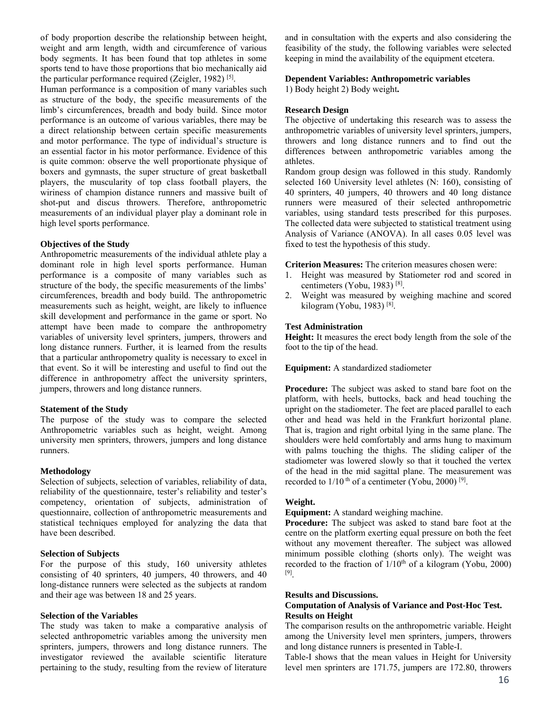of body proportion describe the relationship between height, weight and arm length, width and circumference of various body segments. It has been found that top athletes in some sports tend to have those proportions that bio mechanically aid the particular performance required (Zeigler, 1982)<sup>[5]</sup>.

Human performance is a composition of many variables such as structure of the body, the specific measurements of the limb's circumferences, breadth and body build. Since motor performance is an outcome of various variables, there may be a direct relationship between certain specific measurements and motor performance. The type of individual's structure is an essential factor in his motor performance. Evidence of this is quite common: observe the well proportionate physique of boxers and gymnasts, the super structure of great basketball players, the muscularity of top class football players, the wiriness of champion distance runners and massive built of shot-put and discus throwers. Therefore, anthropometric measurements of an individual player play a dominant role in high level sports performance.

## **Objectives of the Study**

Anthropometric measurements of the individual athlete play a dominant role in high level sports performance. Human performance is a composite of many variables such as structure of the body, the specific measurements of the limbs' circumferences, breadth and body build. The anthropometric measurements such as height, weight, are likely to influence skill development and performance in the game or sport. No attempt have been made to compare the anthropometry variables of university level sprinters, jumpers, throwers and long distance runners. Further, it is learned from the results that a particular anthropometry quality is necessary to excel in that event. So it will be interesting and useful to find out the difference in anthropometry affect the university sprinters, jumpers, throwers and long distance runners.

## **Statement of the Study**

The purpose of the study was to compare the selected Anthropometric variables such as height, weight. Among university men sprinters, throwers, jumpers and long distance runners.

#### **Methodology**

Selection of subjects, selection of variables, reliability of data, reliability of the questionnaire, tester's reliability and tester's competency, orientation of subjects, administration of questionnaire, collection of anthropometric measurements and statistical techniques employed for analyzing the data that have been described.

#### **Selection of Subjects**

For the purpose of this study, 160 university athletes consisting of 40 sprinters, 40 jumpers, 40 throwers, and 40 long-distance runners were selected as the subjects at random and their age was between 18 and 25 years.

### **Selection of the Variables**

The study was taken to make a comparative analysis of selected anthropometric variables among the university men sprinters, jumpers, throwers and long distance runners. The investigator reviewed the available scientific literature pertaining to the study, resulting from the review of literature

and in consultation with the experts and also considering the feasibility of the study, the following variables were selected keeping in mind the availability of the equipment etcetera.

## **Dependent Variables: Anthropometric variables**

1) Body height 2) Body weight**.** 

## **Research Design**

The objective of undertaking this research was to assess the anthropometric variables of university level sprinters, jumpers, throwers and long distance runners and to find out the differences between anthropometric variables among the athletes.

Random group design was followed in this study. Randomly selected 160 University level athletes (N: 160), consisting of 40 sprinters, 40 jumpers, 40 throwers and 40 long distance runners were measured of their selected anthropometric variables, using standard tests prescribed for this purposes. The collected data were subjected to statistical treatment using Analysis of Variance (ANOVA). In all cases 0.05 level was fixed to test the hypothesis of this study.

**Criterion Measures:** The criterion measures chosen were:

- 1. Height was measured by Statiometer rod and scored in centimeters (Yobu, 1983) [8].
- 2. Weight was measured by weighing machine and scored kilogram (Yobu, 1983)<sup>[8]</sup>.

### **Test Administration**

**Height:** It measures the erect body length from the sole of the foot to the tip of the head.

### **Equipment:** A standardized stadiometer

**Procedure:** The subject was asked to stand bare foot on the platform, with heels, buttocks, back and head touching the upright on the stadiometer. The feet are placed parallel to each other and head was held in the Frankfurt horizontal plane. That is, tragion and right orbital lying in the same plane. The shoulders were held comfortably and arms hung to maximum with palms touching the thighs. The sliding caliper of the stadiometer was lowered slowly so that it touched the vertex of the head in the mid sagittal plane. The measurement was recorded to  $1/10$ <sup>th</sup> of a centimeter (Yobu, 2000)<sup>[9]</sup>.

#### **Weight.**

**Equipment:** A standard weighing machine.

**Procedure:** The subject was asked to stand bare foot at the centre on the platform exerting equal pressure on both the feet without any movement thereafter. The subject was allowed minimum possible clothing (shorts only). The weight was recorded to the fraction of  $1/10<sup>th</sup>$  of a kilogram (Yobu, 2000) [9].

#### **Results and Discussions.**

### **Computation of Analysis of Variance and Post-Hoc Test. Results on Height**

The comparison results on the anthropometric variable. Height among the University level men sprinters, jumpers, throwers and long distance runners is presented in Table-I.

Table-I shows that the mean values in Height for University level men sprinters are 171.75, jumpers are 172.80, throwers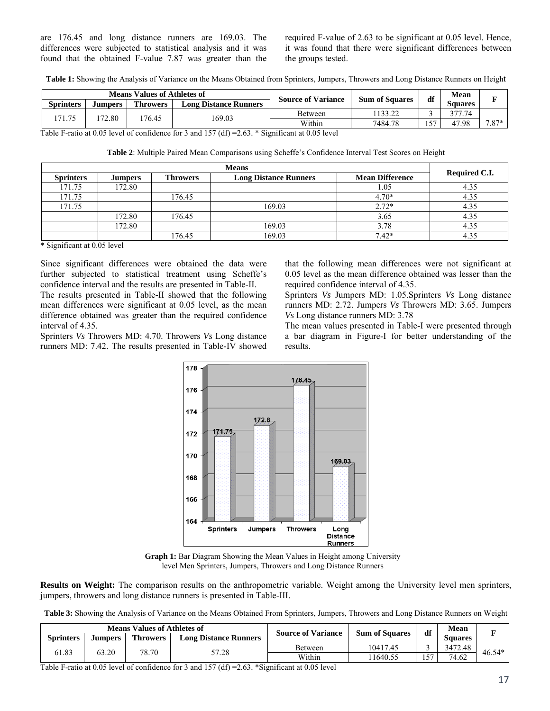are 176.45 and long distance runners are 169.03. The differences were subjected to statistical analysis and it was found that the obtained F-value 7.87 was greater than the required F-value of 2.63 to be significant at 0.05 level. Hence, it was found that there were significant differences between the groups tested.

**Table 1:** Showing the Analysis of Variance on the Means Obtained from Sprinters, Jumpers, Throwers and Long Distance Runners on Height

| <b>Means Values of Athletes of</b> |         |                 |                              | <b>Source of Variance</b>                  | <b>Sum of Squares</b> | df   | Mean           | -       |
|------------------------------------|---------|-----------------|------------------------------|--------------------------------------------|-----------------------|------|----------------|---------|
| <b>Sprinters</b>                   | Jumpers | <b>Throwers</b> | <b>Long Distance Runners</b> |                                            |                       |      | <b>Squares</b> |         |
| 171.75                             | 72.80   | 76.45           | 169.03                       | <b>Between</b>                             | 133.22                |      | 377.74         |         |
|                                    |         |                 |                              | Within                                     | 7484.78               | . 57 | 47.98          | $7.87*$ |
| r 11 r                             | .0071   |                 | $1.155/10 \times 20^{14}$    | $\cdot$ $\cdot$ $\wedge$ $\wedge$ $\sim$ 1 |                       |      |                |         |

Table F-ratio at 0.05 level of confidence for 3 and 157 (df) =2.63. \* Significant at 0.05 level

**Table 2**: Multiple Paired Mean Comparisons using Scheffe's Confidence Interval Test Scores on Height

| <b>Sprinters</b> | <b>Jumpers</b> | <b>Throwers</b> | <b>Long Distance Runners</b> | <b>Mean Difference</b> | Required C.I. |  |
|------------------|----------------|-----------------|------------------------------|------------------------|---------------|--|
| 171.75           | 172.80         |                 |                              | 1.05                   | 4.35          |  |
| 171.75           |                | 176.45          |                              | $4.70*$                | 4.35          |  |
| 171.75           |                |                 | 169.03                       | $2.72*$                | 4.35          |  |
|                  | 172.80         | 176.45          |                              | 3.65                   | 4.35          |  |
|                  | 172.80         |                 | 169.03                       | 3.78                   | 4.35          |  |
|                  |                | 176.45          | 169.03                       | $7.42*$                | 4.35          |  |

**\*** Significant at 0.05 level

Since significant differences were obtained the data were further subjected to statistical treatment using Scheffe's confidence interval and the results are presented in Table-II.

The results presented in Table-II showed that the following mean differences were significant at 0.05 level, as the mean difference obtained was greater than the required confidence interval of 4.35.

Sprinters *Vs* Throwers MD: 4.70. Throwers *Vs* Long distance runners MD: 7.42. The results presented in Table-IV showed

that the following mean differences were not significant at 0.05 level as the mean difference obtained was lesser than the required confidence interval of 4.35.

Sprinters *Vs* Jumpers MD: 1.05.Sprinters *Vs* Long distance runners MD: 2.72. Jumpers *Vs* Throwers MD: 3.65. Jumpers *Vs* Long distance runners MD: 3.78

The mean values presented in Table-I were presented through a bar diagram in Figure-I for better understanding of the results.



**Graph 1:** Bar Diagram Showing the Mean Values in Height among University level Men Sprinters, Jumpers, Throwers and Long Distance Runners

**Results on Weight:** The comparison results on the anthropometric variable. Weight among the University level men sprinters, jumpers, throwers and long distance runners is presented in Table-III.

**Table 3:** Showing the Analysis of Variance on the Means Obtained From Sprinters, Jumpers, Throwers and Long Distance Runners on Weight

| <b>Means Values of Athletes of</b> |          |                 |                              |                           |                       | df   | Mean    | п        |
|------------------------------------|----------|-----------------|------------------------------|---------------------------|-----------------------|------|---------|----------|
| <b>Sprinters</b>                   | Jumpers. | <b>Throwers</b> | <b>Long Distance Runners</b> | <b>Source of Variance</b> | <b>Sum of Squares</b> |      | Squares |          |
| 61.83                              | 63.20    | 78.70           | 57.28                        | <b>Between</b>            | 10417.45              |      | 3472.48 | $46.54*$ |
|                                    |          |                 |                              | Within                    | 1640.55               | . 57 | 74.62   |          |

Table F-ratio at 0.05 level of confidence for 3 and 157 (df) =2.63. \*Significant at 0.05 level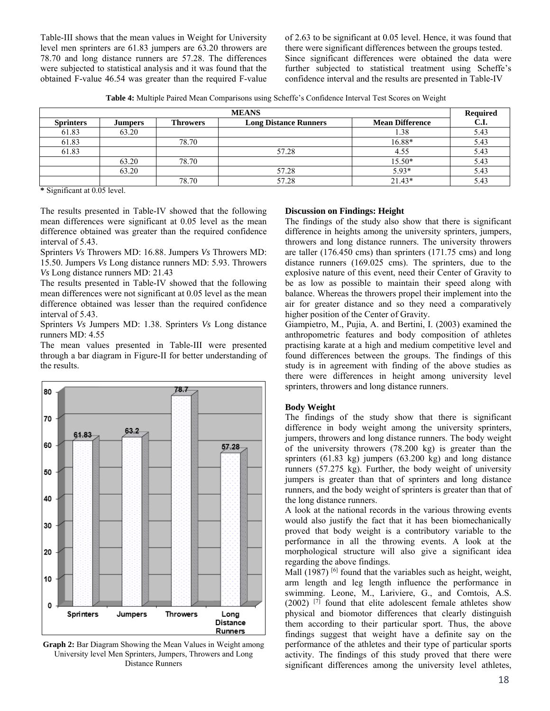Table-III shows that the mean values in Weight for University level men sprinters are 61.83 jumpers are 63.20 throwers are 78.70 and long distance runners are 57.28. The differences were subjected to statistical analysis and it was found that the obtained F-value 46.54 was greater than the required F-value of 2.63 to be significant at 0.05 level. Hence, it was found that there were significant differences between the groups tested. Since significant differences were obtained the data were further subjected to statistical treatment using Scheffe's confidence interval and the results are presented in Table-IV

**Table 4:** Multiple Paired Mean Comparisons using Scheffe's Confidence Interval Test Scores on Weight

| <b>MEANS</b>     |                |                 |                              |                        |      |
|------------------|----------------|-----------------|------------------------------|------------------------|------|
| <b>Sprinters</b> | <b>Jumpers</b> | <b>Throwers</b> | <b>Long Distance Runners</b> | <b>Mean Difference</b> | C.I. |
| 61.83            | 63.20          |                 |                              | . 38                   | 5.43 |
| 61.83            |                | 78.70           |                              | 16.88*                 | 5.43 |
| 61.83            |                |                 | 57.28                        | 4.55                   | 5.43 |
|                  | 63.20          | 78.70           |                              | 15.50*                 | 5.43 |
|                  | 63.20          |                 | 57.28                        | $5.93*$                | 5.43 |
|                  |                | 78.70           | 57.28                        | $21.43*$               | 5.43 |

**\*** Significant at 0.05 level.

The results presented in Table-IV showed that the following mean differences were significant at 0.05 level as the mean difference obtained was greater than the required confidence interval of 5.43.

Sprinters *Vs* Throwers MD: 16.88. Jumpers *Vs* Throwers MD: 15.50. Jumpers *Vs* Long distance runners MD: 5.93. Throwers *Vs* Long distance runners MD: 21.43

The results presented in Table-IV showed that the following mean differences were not significant at 0.05 level as the mean difference obtained was lesser than the required confidence interval of 5.43.

Sprinters *Vs* Jumpers MD: 1.38. Sprinters *Vs* Long distance runners MD: 4.55

The mean values presented in Table-III were presented through a bar diagram in Figure-II for better understanding of the results.



**Graph 2:** Bar Diagram Showing the Mean Values in Weight among University level Men Sprinters, Jumpers, Throwers and Long Distance Runners

## **Discussion on Findings: Height**

The findings of the study also show that there is significant difference in heights among the university sprinters, jumpers, throwers and long distance runners. The university throwers are taller (176.450 cms) than sprinters (171.75 cms) and long distance runners (169.025 cms). The sprinters, due to the explosive nature of this event, need their Center of Gravity to be as low as possible to maintain their speed along with balance. Whereas the throwers propel their implement into the air for greater distance and so they need a comparatively higher position of the Center of Gravity.

Giampietro, M., Pujia, A. and Bertini, I. (2003) examined the anthropometric features and body composition of athletes practising karate at a high and medium competitive level and found differences between the groups. The findings of this study is in agreement with finding of the above studies as there were differences in height among university level sprinters, throwers and long distance runners.

## **Body Weight**

The findings of the study show that there is significant difference in body weight among the university sprinters, jumpers, throwers and long distance runners. The body weight of the university throwers (78.200 kg) is greater than the sprinters (61.83 kg) jumpers (63.200 kg) and long distance runners (57.275 kg). Further, the body weight of university jumpers is greater than that of sprinters and long distance runners, and the body weight of sprinters is greater than that of the long distance runners.

A look at the national records in the various throwing events would also justify the fact that it has been biomechanically proved that body weight is a contributory variable to the performance in all the throwing events. A look at the morphological structure will also give a significant idea regarding the above findings.

Mall  $(1987)$  <sup>[6]</sup> found that the variables such as height, weight, arm length and leg length influence the performance in swimming. Leone, M., Lariviere, G., and Comtois, A.S.  $(2002)$  <sup>[7]</sup> found that elite adolescent female athletes show physical and biomotor differences that clearly distinguish them according to their particular sport. Thus, the above findings suggest that weight have a definite say on the performance of the athletes and their type of particular sports activity. The findings of this study proved that there were significant differences among the university level athletes,